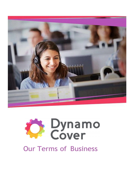



# Our Terms of Business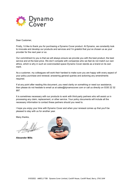

Dear Customer,

Firstly, I'd like to thank you for purchasing a Dynamo Cover product. At Dynamo, we constantly look to innovate and develop our products and services and I'm grateful that you've chosen us as your provider for the next year or so.

Our commitment to you is that we will always ensure we provide you with the best product, the best service and at the best price. We don't compete with companies who we feel do not match our own ethics, which is why in such an overcrowded space Dynamo Cover stands as a brand on its own merit.

As a customer, my colleagues will work their hardest to make sure you are happy with every aspect of your policy purchase and renewal; answering general queries and actioning any amendments required.

If at any point after reading this document, you need clarity on something or need our assistance, then please do not hesitate to email us at sales@dynamocover.com or call us directly on 0330 22 32 897.

It is sometimes necessary with our products to work with third-party partners who will assist us in processing any claim, replacement, or other service. Your policy documents will include all the necessary information to contact these partners should you need to.

I hope you enjoy your time with Dynamo Cover and when your renewal comes up that you'll be pleased to stay with us for another year.

Many thanks,

Alexander Mills

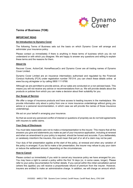

## Terms of Business (TOB)

## IMPORTANT READ

#### An Introduction to Dynamo Cover

The following Terms of Business sets out the basis on which Dynamo Cover will arrange and administer your insurance policy.

Please contact us immediately if there is anything in these terms of business which you do not understand or with which you disagree. We are happy to answer any questions and willing to explain these terms and the reasons for them.

## About Us

Recover Cover, ActionCall, HomeRescueCo and Dynamo Cover are all trading names of Dynamo Cover Limited.

Dynamo Cover Limited are an insurance intermediary authorised and regulated by the Financial Conduct Authority (FCA) under registration number 781314; you can check these details online at www.fca.org.uk/register or by calling 0800 111 6768.

Although we are permitted to provide advice, all our sales are conducted on a non-advised basis. This means you will not receive any advice or recommendations from us. We will provide details about the products or policies from which you can make a decision about their suitability for you.

#### Our Scope of Service

We offer a range of insurance products and have access to leading insurers in the marketplace. We provide information only about a policy from one or more insurance undertakings without giving you advice or a personal recommendation, in which case we will provide the names of those insurance undertakings.

We act on your behalf in arranging your insurance.

So that we avoid any perceived conflict of interest or questions of propriety we do not hold agreements with insurers to settle claims.

#### Your Duty of Disclosure

You must take reasonable care not to make a misrepresentation to the insurer. This means that all the answers you give and statements you make as part of your insurance application, including at renewal and when an amendment to your policy is required, should be honest and accurate. If you deliberately or carelessly misinform the insurers, this could mean that part of or all of a claim may not be paid.

Your duty of fair presentation applies at the start of the policy, at renewal and when any variation of the policy is arranged. If you fail to make a fair presentation, the insurer may refuse to pay your claim or reduce the settlement amount, depending on the circumstances.

#### How to Cancel

Please contact us immediately if you wish to cancel any insurance policy we have arranged for you. You may have a right to cancel a policy within the first 14 days (or, in some cases, longer). Please refer to your policy documentation for further details. If you cancel within this initial cancellation period (where this applies) you will receive a proportionate refund of premium from the insurer. However, insurers are entitled to make an administrative charge. In addition, we will charge an amount which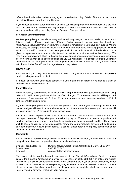reflects the administrative costs of arranging and cancelling the policy. Details of the amount we charge are detailed below under Fees and Charges.

If you choose to cancel other than within an initial cancellation period you may not receive a pro-rata refund of premium. In addition, we may charge an amount that reflects the administrative costs of arranging and cancelling the policy (see our Fees and Charges below).

## Protecting your Information

We take your privacy extremely seriously and we will only use your personal details in line with our Privacy Notice. Please read our Privacy Policy carefully which can be found at; https://dynamocover.com/privacy-policy/and contact us immediately if you have any queries. Where necessary, for example where we would like to use your data for some marketing purposes, we shall ask for your specific consent to do so. Your personal information includes all of the details you have given us to process your insurance policy (we will not ask for more information than is necessary). We may share your data with Third Parties for the provision and ongoing performance of your insurance policy. Your data may be transferred outside the UK. We will not sell, rent or trade your data under any circumstances. All of the personal information you supply to us will be handled strictly in accordance with the applicable Data Protection regulations and legislation.

#### How to Claim

Please refer to your policy documentation if you need to notify a claim; your documentation will provide details of who you need to contact.

If in doubt about whom you should contact, or if you require our assistance in relation to a claim or potential claim please contact us.

#### Policy Renewal

When your policy becomes due for renewal, we will prepare your renewal quotation based on existing information held, unless you have advised us of any changes. Your renewal quotation will be provided in advance of your renewal date (at least 21 days prior to expiry date) to ensure you have sufficient time to consider renewal terms.

If you terminate your policy before your current policy is due to expire, your renewal quote will not be issued, and you will need to source alternative cover. If we are unable to renew your policy, we will write and inform you 21 days prior to your renewal date.

Should you choose to proceed with your renewal, we will debit the card details used for your original policy purchase up to 7 days after your renewal policy begins. Where you have opted to pay by direct debit, we will issue your annual renewal quotation in advance, however you will need to notify us if you wish to cancel as your policy will automatically renew and your direct debit payment will be taken up to 7 days after your renewal policy begins. To cancel, please refer to your policy documentation for instructions on how to do so.

#### **Complaints**

It is our intention to provide a high level of service at all times. However, if you have reason to make a complaint about our service you should contact us immediately –

| By post $-$ send a letter to: | Dynamo Cover, Cardiff House, Cardiff Road, Barry, CF63 2AW |
|-------------------------------|------------------------------------------------------------|
| By telephone:                 | 0330 22 32 897                                             |
| By email:                     | complaints@dynamocover.com                                 |

You may be entitled to refer the matter subsequently to the Financial Ombudsman Service. You can contact the Financial Ombudsman Service by telephone on 0800 023 4567 or online and further information is available at http://www.financial-ombudsman.org.uk/. If you do decide to refer any matter to the Financial Ombudsman Service your legal rights will not be affected. We will provide a summary of our complaints handling procedures should you make a complaint which we cannot resolve informally and at any other time, upon your request.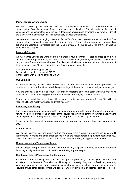## Compensation Arrangements

We are covered by the Financial Services Compensation Scheme. You may be entitled to compensation from the scheme if we cannot meet our obligations. This depends on the type of business and the circumstances of the claim. Insurance advising and arranging is covered for 90% of the claim, without any upper limit. For compulsory classes of insurance,

insurance advising and arranging is covered for 100% of the claim, also without any upper limit. The compensation scheme does not apply to consumer credit. Further information about compensation scheme arrangements is available from the FSCS on 0800 678 1100 or 020 7741 4100 or by visiting http://www.fscs.org.uk/

## Fees and Charges

We will charge you for the work incurred in handling your insurances. These charges apply if you instruct us to arrange insurance, carry out a mid-term adjustment, renewal, cancellation or other work on your behalf. Any additional charges, if applicable, will always be agreed with you in advance of them becoming due. All fees paid to Dynamo Cover are non-refundable.

Mid-term amendments up to £15.99 Cancellations outside cooling off £15.99 Cancellations within cooling off up to £15.99

## Our Earnings

In return for placing business with insurers and/or underwriters and/or other product providers, we receive a commission from them which is a percentage of the annual premium that you are charged.

You are entitled, at any time, to request information regarding any commission which we may have received as a result of placing your insurance business or arranging premium finance.

Please be assured that at no time will the way in which we are remunerated conflict with our responsibilities to meet your needs and treat you fairly.

#### Protecting your Money

Prior to your premium being forwarded to the insurer (or forwarded to you in the event of a premium refund) we hold your money as an agent of the insurer with which we arrange your insurance. Where we hold premium as the agent of the insurer it is regarded as received by the insurer.

By accepting this Terms of Business, you are giving your consent for us to treat your money in this way.

#### Credit Checks

We, or the insurer/s may use public and personal data from a variety of sources including Credit Referencing Agencies and other organisations to gain the most appropriate payment options for you. This credit check will appear on your credit report, whether or not your application/s proceed.

## Money Laundering/Proceeds of Crime

We are obliged to report to the National Crime Agency any suspicion of money laundering or terrorist financing activity and we are prohibited from disclosing any such report.

#### Conflicts of Interest/Customers Best Interests

As insurance brokers we generally act as your agent in proposing, arranging your insurance and assisting you in the event of a claim; we will always act honestly, fairly and professionally ensuring your best interests are our priority. In certain circumstances we may act for and owe duties of care to insurers and/or other parties. Where we become aware of any actual or potential conflict of interest